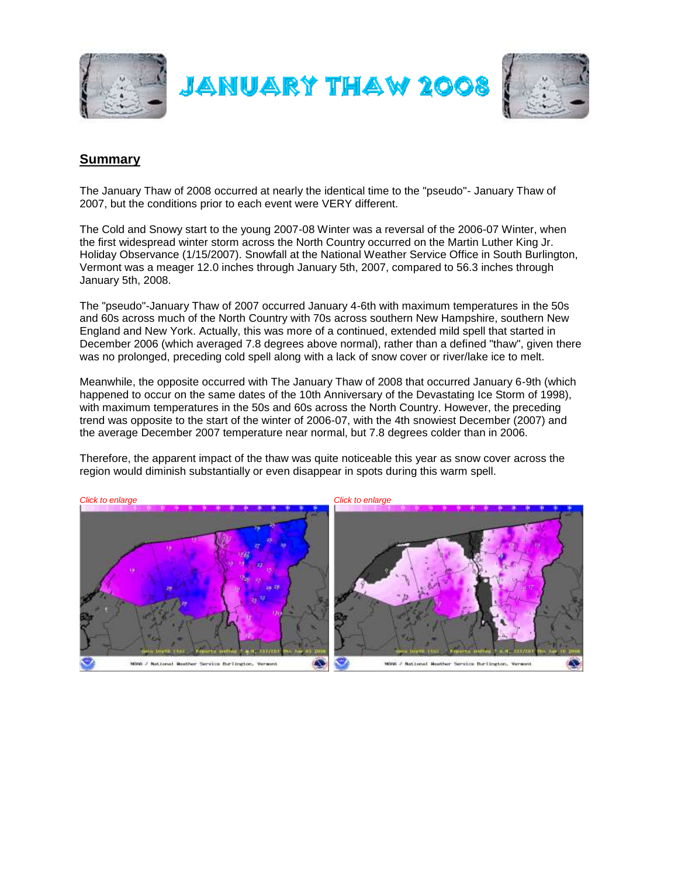

## **Summary**

The January Thaw of 2008 occurred at nearly the identical time to the "pseudo"- January Thaw of 2007, but the conditions prior to each event were VERY different.

The Cold and Snowy start to the young 2007-08 Winter was a reversal of the 2006-07 Winter, when the first widespread winter storm across the North Country occurred on the Martin Luther King Jr. Holiday Observance (1/15/2007). Snowfall at the National Weather Service Office in South Burlington, Vermont was a meager 12.0 inches through January 5th, 2007, compared to 56.3 inches through January 5th, 2008.

The "pseudo"-January Thaw of 2007 occurred January 4-6th with maximum temperatures in the 50s and 60s across much of the North Country with 70s across southern New Hampshire, southern New England and New York. Actually, this was more of a continued, extended mild spell that started in December 2006 (which averaged 7.8 degrees above normal), rather than a defined "thaw", given there was no prolonged, preceding cold spell along with a lack of snow cover or river/lake ice to melt.

Meanwhile, the opposite occurred with The January Thaw of 2008 that occurred January 6-9th (which happened to occur on the same dates of the 10th Anniversary of the Devastating Ice Storm of 1998), with maximum temperatures in the 50s and 60s across the North Country. However, the preceding trend was opposite to the start of the winter of 2006-07, with the 4th snowiest December (2007) and the average December 2007 temperature near normal, but 7.8 degrees colder than in 2006.

Therefore, the apparent impact of the thaw was quite noticeable this year as snow cover across the region would diminish substantially or even disappear in spots during this warm spell.

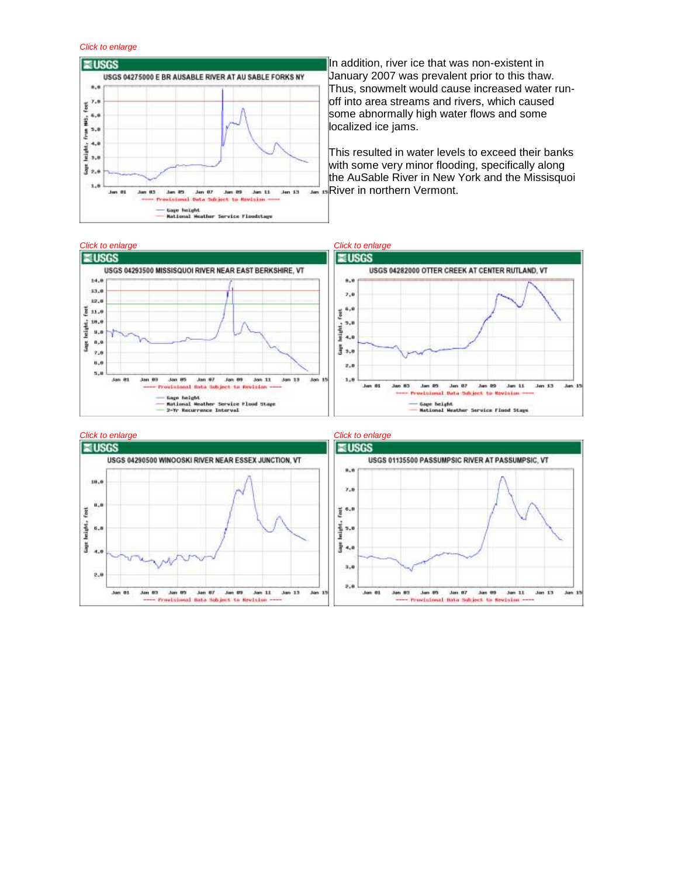## *Click to enlarge*



In addition, river ice that was non-existent in January 2007 was prevalent prior to this thaw. Thus, snowmelt would cause increased water runoff into area streams and rivers, which caused some abnormally high water flows and some localized ice jams.

This resulted in water levels to exceed their banks with some very minor flooding, specifically along the AuSable River in New York and the Missisquoi **River in northern Vermont.** 



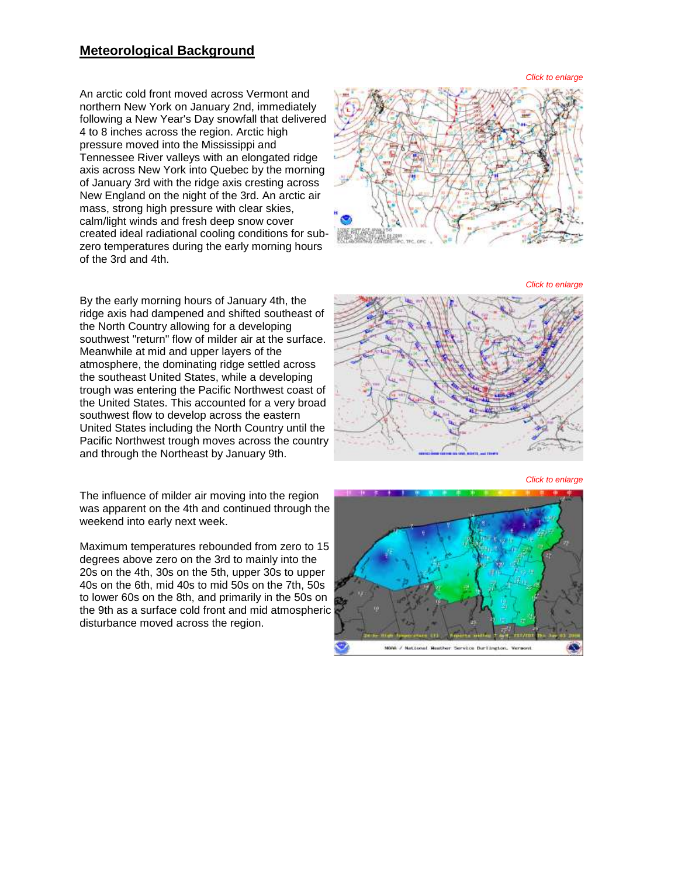## **Meteorological Background**

An arctic cold front moved across Vermont and northern New York on January 2nd, immediately following a New Year's Day snowfall that delivered 4 to 8 inches across the region. Arctic high pressure moved into the Mississippi and Tennessee River valleys with an elongated ridge axis across New York into Quebec by the morning of January 3rd with the ridge axis cresting across New England on the night of the 3rd. An arctic air mass, strong high pressure with clear skies, calm/light winds and fresh deep snow cover created ideal radiational cooling conditions for sub zero temperatures during the early morning hours of the 3rd and 4th.

By the early morning hours of January 4th, the ridge axis had dampened and shifted southeast of the North Country allowing for a developing southwest "return" flow of milder air at the surface. Meanwhile at mid and upper layers of the atmosphere, the dominating ridge settled across the southeast United States, while a developing trough was entering the Pacific Northwest coast of the United States. This accounted for a very broad southwest flow to develop across the eastern United States including the North Country until the Pacific Northwest trough moves across the country and through the Northeast by January 9th.

The influence of milder air moving into the region was apparent on the 4th and continued through the weekend into early next week.

Maximum temperatures rebounded from zero to 15 degrees above zero on the 3rd to mainly into the 20s on the 4th, 30s on the 5th, upper 30s to upper 40s on the 6th, mid 40s to mid 50s on the 7th, 50s to lower 60s on the 8th, and primarily in the 50s on the 9th as a surface cold front and mid atmospheric disturbance moved across the region.



*Click to enlarge*



*Click to enlarge*

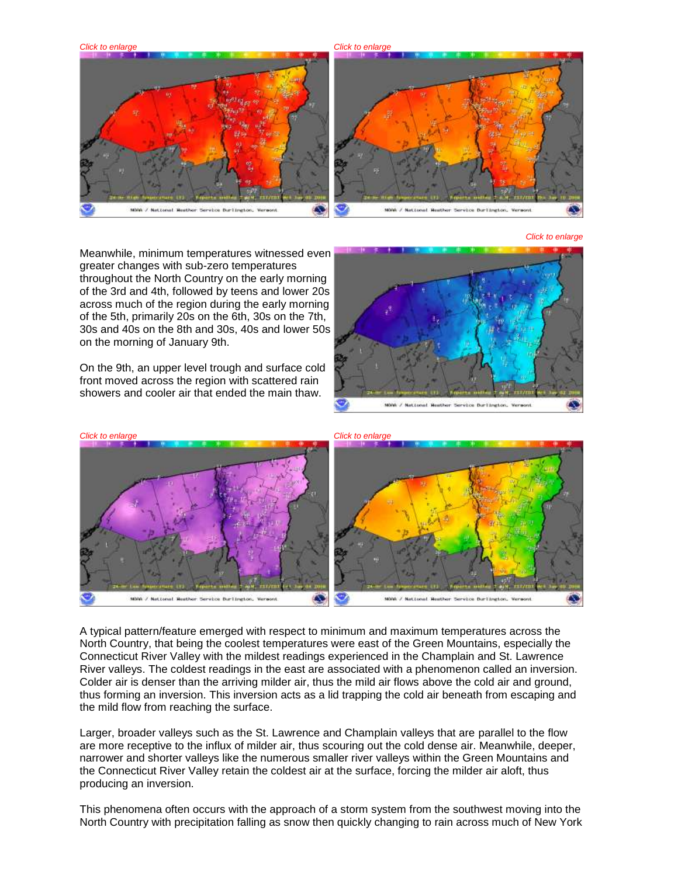

*Click to enlarge*

Meanwhile, minimum temperatures witnessed even greater changes with sub-zero temperatures throughout the North Country on the early morning of the 3rd and 4th, followed by teens and lower 20s across much of the region during the early morning of the 5th, primarily 20s on the 6th, 30s on the 7th, 30s and 40s on the 8th and 30s, 40s and lower 50s on the morning of January 9th.

On the 9th, an upper level trough and surface cold front moved across the region with scattered rain showers and cooler air that ended the main thaw.





A typical pattern/feature emerged with respect to minimum and maximum temperatures across the North Country, that being the coolest temperatures were east of the Green Mountains, especially the Connecticut River Valley with the mildest readings experienced in the Champlain and St. Lawrence River valleys. The coldest readings in the east are associated with a phenomenon called an inversion. Colder air is denser than the arriving milder air, thus the mild air flows above the cold air and ground, thus forming an inversion. This inversion acts as a lid trapping the cold air beneath from escaping and the mild flow from reaching the surface.

Larger, broader valleys such as the St. Lawrence and Champlain valleys that are parallel to the flow are more receptive to the influx of milder air, thus scouring out the cold dense air. Meanwhile, deeper, narrower and shorter valleys like the numerous smaller river valleys within the Green Mountains and the Connecticut River Valley retain the coldest air at the surface, forcing the milder air aloft, thus producing an inversion.

This phenomena often occurs with the approach of a storm system from the southwest moving into the North Country with precipitation falling as snow then quickly changing to rain across much of New York